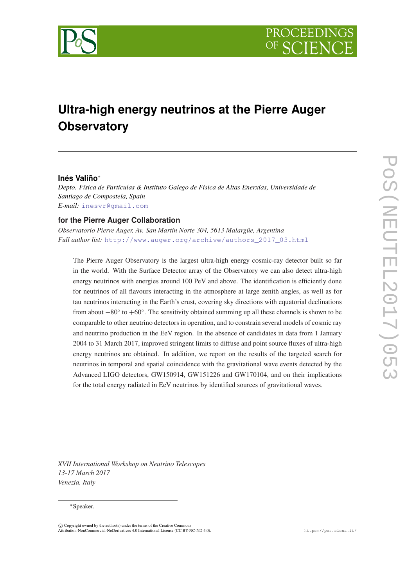

# **Ultra-high energy neutrinos at the Pierre Auger Observatory**

# **Inés Valiño**<sup>∗</sup>

*Depto. Física de Partículas & Instituto Galego de Física de Altas Enerxías, Universidade de Santiago de Compostela, Spain E-mail:* [inesvr@gmail.com](mailto:inesvr@gmail.com)

## **for the Pierre Auger Collaboration**

*Observatorio Pierre Auger, Av. San Martín Norte 304, 5613 Malargüe, Argentina Full author list:* [http://www.auger.org/archive/authors\\_2017\\_03.html](mailto:http://www.auger.org/archive/authors$protect T1	extunderscore $2017$protect T1	extunderscore $03.html)

The Pierre Auger Observatory is the largest ultra-high energy cosmic-ray detector built so far in the world. With the Surface Detector array of the Observatory we can also detect ultra-high energy neutrinos with energies around 100 PeV and above. The identification is efficiently done for neutrinos of all flavours interacting in the atmosphere at large zenith angles, as well as for tau neutrinos interacting in the Earth's crust, covering sky directions with equatorial declinations from about  $-80^\circ$  to  $+60^\circ$ . The sensitivity obtained summing up all these channels is shown to be comparable to other neutrino detectors in operation, and to constrain several models of cosmic ray and neutrino production in the EeV region. In the absence of candidates in data from 1 January 2004 to 31 March 2017, improved stringent limits to diffuse and point source fluxes of ultra-high energy neutrinos are obtained. In addition, we report on the results of the targeted search for neutrinos in temporal and spatial coincidence with the gravitational wave events detected by the Advanced LIGO detectors, GW150914, GW151226 and GW170104, and on their implications for the total energy radiated in EeV neutrinos by identified sources of gravitational waves.

*XVII International Workshop on Neutrino Telescopes 13-17 March 2017 Venezia, Italy*

#### <sup>∗</sup>Speaker.

 $\overline{c}$  Copyright owned by the author(s) under the terms of the Creative Commons Attribution-NonCommercial-NoDerivatives 4.0 International License (CC BY-NC-ND 4.0). https://pos.sissa.it/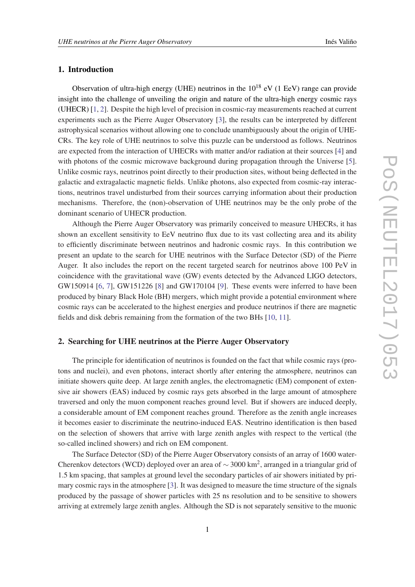# <span id="page-1-0"></span>1. Introduction

Observation of ultra-high energy (UHE) neutrinos in the  $10^{18}$  eV (1 EeV) range can provide insight into the challenge of unveiling the origin and nature of the ultra-high energy cosmic rays (UHECR) [\[1,](#page-8-0) [2](#page-8-0)]. Despite the high level of precision in cosmic-ray measurements reached at current experiments such as the Pierre Auger Observatory [\[3\]](#page-8-0), the results can be interpreted by different astrophysical scenarios without allowing one to conclude unambiguously about the origin of UHE-CRs. The key role of UHE neutrinos to solve this puzzle can be understood as follows. Neutrinos are expected from the interaction of UHECRs with matter and/or radiation at their sources [\[4\]](#page-8-0) and with photons of the cosmic microwave background during propagation through the Universe [\[5\]](#page-8-0). Unlike cosmic rays, neutrinos point directly to their production sites, without being deflected in the galactic and extragalactic magnetic fields. Unlike photons, also expected from cosmic-ray interactions, neutrinos travel undisturbed from their sources carrying information about their production mechanisms. Therefore, the (non)-observation of UHE neutrinos may be the only probe of the dominant scenario of UHECR production.

Although the Pierre Auger Observatory was primarily conceived to measure UHECRs, it has shown an excellent sensitivity to EeV neutrino flux due to its vast collecting area and its ability to efficiently discriminate between neutrinos and hadronic cosmic rays. In this contribution we present an update to the search for UHE neutrinos with the Surface Detector (SD) of the Pierre Auger. It also includes the report on the recent targeted search for neutrinos above 100 PeV in coincidence with the gravitational wave (GW) events detected by the Advanced LIGO detectors, GW150914 [\[6,](#page-8-0) [7](#page-8-0)], GW151226 [\[8\]](#page-8-0) and GW170104 [[9](#page-8-0)]. These events were inferred to have been produced by binary Black Hole (BH) mergers, which might provide a potential environment where cosmic rays can be accelerated to the highest energies and produce neutrinos if there are magnetic fields and disk debris remaining from the formation of the two BHs [[10,](#page-8-0) [11](#page-8-0)].

## 2. Searching for UHE neutrinos at the Pierre Auger Observatory

The principle for identification of neutrinos is founded on the fact that while cosmic rays (protons and nuclei), and even photons, interact shortly after entering the atmosphere, neutrinos can initiate showers quite deep. At large zenith angles, the electromagnetic (EM) component of extensive air showers (EAS) induced by cosmic rays gets absorbed in the large amount of atmosphere traversed and only the muon component reaches ground level. But if showers are induced deeply, a considerable amount of EM component reaches ground. Therefore as the zenith angle increases it becomes easier to discriminate the neutrino-induced EAS. Neutrino identification is then based on the selection of showers that arrive with large zenith angles with respect to the vertical (the so-called inclined showers) and rich on EM component.

The Surface Detector (SD) of the Pierre Auger Observatory consists of an array of 1600 water-Cherenkov detectors (WCD) deployed over an area of  $\sim$  3000 km<sup>2</sup>, arranged in a triangular grid of 1.5 km spacing, that samples at ground level the secondary particles of air showers initiated by primary cosmic rays in the atmosphere [[3](#page-8-0)]. It was designed to measure the time structure of the signals produced by the passage of shower particles with 25 ns resolution and to be sensitive to showers arriving at extremely large zenith angles. Although the SD is not separately sensitive to the muonic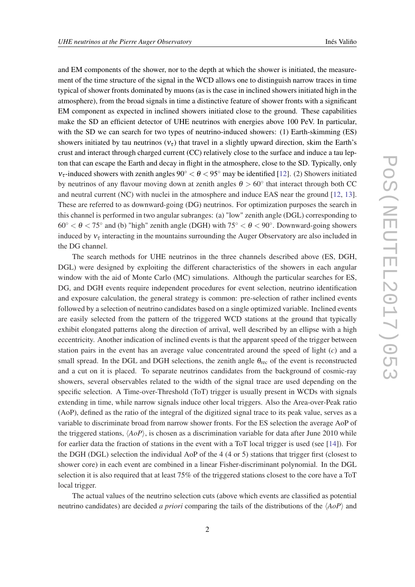and EM components of the shower, nor to the depth at which the shower is initiated, the measurement of the time structure of the signal in the WCD allows one to distinguish narrow traces in time typical of shower fronts dominated by muons (as is the case in inclined showers initiated high in the atmosphere), from the broad signals in time a distinctive feature of shower fronts with a significant EM component as expected in inclined showers initiated close to the ground. These capabilities make the SD an efficient detector of UHE neutrinos with energies above 100 PeV. In particular, with the SD we can search for two types of neutrino-induced showers: (1) Earth-skimming (ES) showers initiated by tau neutrinos  $(v<sub>\tau</sub>)$  that travel in a slightly upward direction, skim the Earth's crust and interact through charged current (CC) relatively close to the surface and induce a tau lepton that can escape the Earth and decay in flight in the atmosphere, close to the SD. Typically, only  $v_{\tau}$ -induced showers with zenith angles 90°  $\lt \theta \lt 95^\circ$  may be identified [[12\]](#page-8-0). (2) Showers initiated by neutrinos of any flavour moving down at zenith angles  $\theta > 60^\circ$  that interact through both CC and neutral current (NC) with nuclei in the atmosphere and induce EAS near the ground [\[12,](#page-8-0) [13\]](#page-8-0). These are referred to as downward-going (DG) neutrinos. For optimization purposes the search in this channel is performed in two angular subranges: (a) "low" zenith angle (DGL) corresponding to  $60^{\circ} < \theta < 75^{\circ}$  and (b) "high" zenith angle (DGH) with  $75^{\circ} < \theta < 90^{\circ}$ . Downward-going showers induced by  $v_{\tau}$  interacting in the mountains surrounding the Auger Observatory are also included in the DG channel.

The search methods for UHE neutrinos in the three channels described above (ES, DGH, DGL) were designed by exploiting the different characteristics of the showers in each angular window with the aid of Monte Carlo (MC) simulations. Although the particular searches for ES, DG, and DGH events require independent procedures for event selection, neutrino identification and exposure calculation, the general strategy is common: pre-selection of rather inclined events followed by a selection of neutrino candidates based on a single optimized variable. Inclined events are easily selected from the pattern of the triggered WCD stations at the ground that typically exhibit elongated patterns along the direction of arrival, well described by an ellipse with a high eccentricity. Another indication of inclined events is that the apparent speed of the trigger between station pairs in the event has an average value concentrated around the speed of light (*c*) and a small spread. In the DGL and DGH selections, the zenith angle  $\theta_{\text{rec}}$  of the event is reconstructed and a cut on it is placed. To separate neutrinos candidates from the background of cosmic-ray showers, several observables related to the width of the signal trace are used depending on the specific selection. A Time-over-Threshold (ToT) trigger is usually present in WCDs with signals extending in time, while narrow signals induce other local triggers. Also the Area-over-Peak ratio (AoP), defined as the ratio of the integral of the digitized signal trace to its peak value, serves as a variable to discriminate broad from narrow shower fronts. For the ES selection the average AoP of the triggered stations,  $\langle AoP \rangle$ , is chosen as a discrimination variable for data after June 2010 while for earlier data the fraction of stations in the event with a ToT local trigger is used (see [[14\]](#page-8-0)). For the DGH (DGL) selection the individual AoP of the 4 (4 or 5) stations that trigger first (closest to shower core) in each event are combined in a linear Fisher-discriminant polynomial. In the DGL selection it is also required that at least 75% of the triggered stations closest to the core have a ToT local trigger.

The actual values of the neutrino selection cuts (above which events are classified as potential neutrino candidates) are decided *a priori* comparing the tails of the distributions of the  $\langle A \circ P \rangle$  and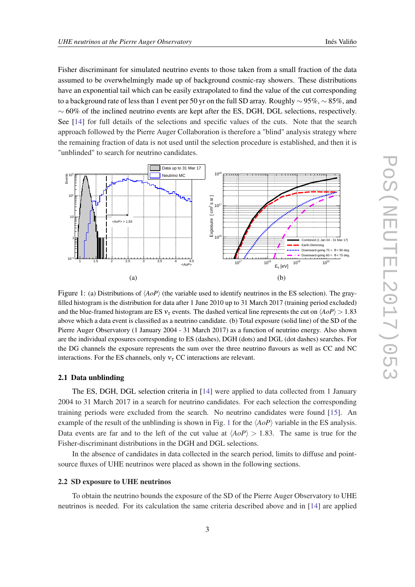<span id="page-3-0"></span>Fisher discriminant for simulated neutrino events to those taken from a small fraction of the data assumed to be overwhelmingly made up of background cosmic-ray showers. These distributions have an exponential tail which can be easily extrapolated to find the value of the cut corresponding to a background rate of less than 1 event per 50 yr on the full SD array. Roughly  $\sim$  95%,  $\sim$  85%, and  $~\sim 60\%$  of the inclined neutrino events are kept after the ES, DGH, DGL selections, respectively. See [[14\]](#page-8-0) for full details of the selections and specific values of the cuts. Note that the search approach followed by the Pierre Auger Collaboration is therefore a "blind" analysis strategy where the remaining fraction of data is not used until the selection procedure is established, and then it is "unblinded" to search for neutrino candidates.



Figure 1: (a) Distributions of  $\langle A \circ P \rangle$  (the variable used to identify neutrinos in the ES selection). The grayfilled histogram is the distribution for data after 1 June 2010 up to 31 March 2017 (training period excluded) and the blue-framed histogram are ES  $v_{\tau}$  events. The dashed vertical line represents the cut on  $\langle AoP \rangle > 1.83$ above which a data event is classified as a neutrino candidate. (b) Total exposure (solid line) of the SD of the Pierre Auger Observatory (1 January 2004 - 31 March 2017) as a function of neutrino energy. Also shown are the individual exposures corresponding to ES (dashes), DGH (dots) and DGL (dot dashes) searches. For the DG channels the exposure represents the sum over the three neutrino flavours as well as CC and NC interactions. For the ES channels, only  $v<sub>\tau</sub>$  CC interactions are relevant.

#### 2.1 Data unblinding

The ES, DGH, DGL selection criteria in [\[14](#page-8-0)] were applied to data collected from 1 January 2004 to 31 March 2017 in a search for neutrino candidates. For each selection the corresponding training periods were excluded from the search. No neutrino candidates were found [[15\]](#page-8-0). An example of the result of the unblinding is shown in Fig. 1 for the  $\langle A \circ P \rangle$  variable in the ES analysis. Data events are far and to the left of the cut value at  $\langle AoP \rangle > 1.83$ . The same is true for the Fisher-discriminant distributions in the DGH and DGL selections.

In the absence of candidates in data collected in the search period, limits to diffuse and pointsource fluxes of UHE neutrinos were placed as shown in the following sections.

#### 2.2 SD exposure to UHE neutrinos

To obtain the neutrino bounds the exposure of the SD of the Pierre Auger Observatory to UHE neutrinos is needed. For its calculation the same criteria described above and in [\[14](#page-8-0)] are applied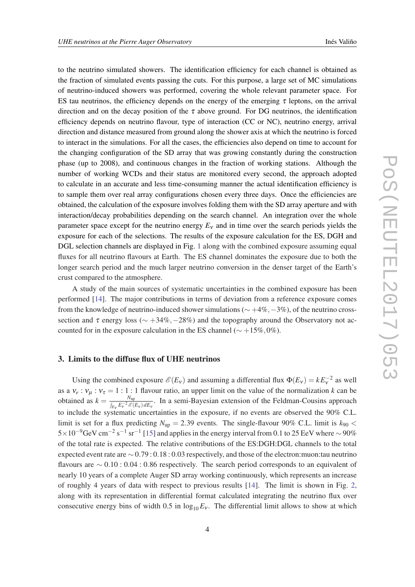to the neutrino simulated showers. The identification efficiency for each channel is obtained as the fraction of simulated events passing the cuts. For this purpose, a large set of MC simulations of neutrino-induced showers was performed, covering the whole relevant parameter space. For ES tau neutrinos, the efficiency depends on the energy of the emerging  $\tau$  leptons, on the arrival direction and on the decay position of the  $\tau$  above ground. For DG neutrinos, the identification efficiency depends on neutrino flavour, type of interaction (CC or NC), neutrino energy, arrival direction and distance measured from ground along the shower axis at which the neutrino is forced to interact in the simulations. For all the cases, the efficiencies also depend on time to account for the changing configuration of the SD array that was growing constantly during the construction phase (up to 2008), and continuous changes in the fraction of working stations. Although the number of working WCDs and their status are monitored every second, the approach adopted to calculate in an accurate and less time-consuming manner the actual identification efficiency is to sample them over real array configurations chosen every three days. Once the efficiencies are obtained, the calculation of the exposure involves folding them with the SD array aperture and with interaction/decay probabilities depending on the search channel. An integration over the whole parameter space except for the neutrino energy  $E<sub>v</sub>$  and in time over the search periods yields the exposure for each of the selections. The results of the exposure calculation for the ES, DGH and DGL selection channels are displayed in Fig. [1](#page-3-0) along with the combined exposure assuming equal fluxes for all neutrino flavours at Earth. The ES channel dominates the exposure due to both the longer search period and the much larger neutrino conversion in the denser target of the Earth's crust compared to the atmosphere.

A study of the main sources of systematic uncertainties in the combined exposure has been performed [[14\]](#page-8-0). The major contributions in terms of deviation from a reference exposure comes from the knowledge of neutrino-induced shower simulations ( $\sim$  +4%, −3%), of the neutrino crosssection and  $\tau$  energy loss ( $\sim$  +34%, -28%) and the topography around the Observatory not accounted for in the exposure calculation in the ES channel ( $\sim +15\%,0\%$ ).

## 3. Limits to the diffuse flux of UHE neutrinos

Using the combined exposure  $\mathcal{E}(E_v)$  and assuming a differential flux  $\Phi(E_v) = kE_v^{-2}$  as well as a  $v_e$ :  $v_\mu$ :  $v_\tau = 1:1:1$  flavour ratio, an upper limit on the value of the normalization *k* can be obtained as  $k = \frac{N_{\text{up}}}{\int \frac{E}{k}}$  $\frac{N_{\text{up}}}{\int_{E_V} E_V^{-2} \mathcal{E}(E_V) dE_V}$ . In a semi-Bayesian extension of the Feldman-Cousins approach to include the systematic uncertainties in the exposure, if no events are observed the 90% C.L. limit is set for a flux predicting  $N_{\text{up}} = 2.39$  events. The single-flavour 90% C.L. limit is  $k_{90}$  <  $5\times10^{-9}$ GeV cm<sup>-2</sup> s<sup>-1</sup> sr<sup>-1</sup> [[15\]](#page-8-0) and applies in the energy interval from 0.1 to 25 EeV where  $\sim$  90% of the total rate is expected. The relative contributions of the ES:DGH:DGL channels to the total expected event rate are ∼ 0.79 : 0.18 : 0.03 respectively, and those of the electron:muon:tau neutrino flavours are ∼ 0.10 : 0.04 : 0.86 respectively. The search period corresponds to an equivalent of nearly 10 years of a complete Auger SD array working continuously, which represents an increase of roughly 4 years of data with respect to previous results [\[14](#page-8-0)]. The limit is shown in Fig. [2](#page-5-0), along with its representation in differential format calculated integrating the neutrino flux over consecutive energy bins of width 0.5 in  $\log_{10} E_v$ . The differential limit allows to show at which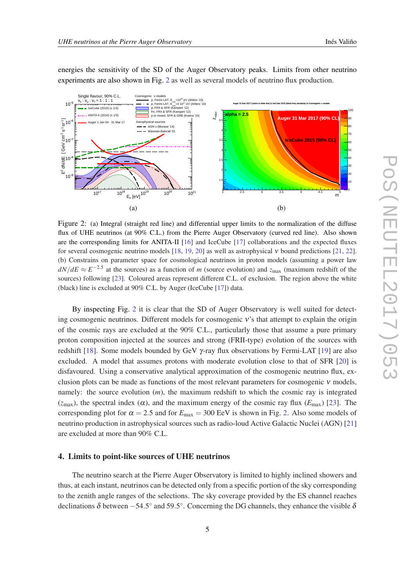$\sqrt{\frac{1}{6}}$ 10<sup>-6</sup>

<sup>−</sup><sup>5</sup> 10

 $v_{e}$ : : ν<sup>µ</sup>

Single flavour, 90% C.L.

:  $v_{\tau} = 1 : 1 : 1$ IceCube (2015) (x 1/3) ANITA-II (2010) (x 1/3) Aug. 31 Mar 17

<span id="page-5-0"></span>energies the sensitivity of the SD of the Auger Observatory peaks. Limits from other neutrino experiments are also shown in Fig. 2 as well as several models of neutrino flux production.

 $\overline{X}_{\text{max}}$ 

4  $4.5$ 5

**alpha = 2.5**

Cosmogenic ν models eV (Ahlers '10) <sup>19</sup> =10 min p, Fermi-LAT, E eV (Ahlers '10) <sup>17</sup> =3 10 min p, Fermi-LAT, E p, FRII & SFR (Kampert '12) Fe, FRII & SFR (Kampert '12) p or mixed, SFR & GRB (Kotera '10)

Astrophysical sources AGN ν (Murase '14) Waxman-Bahcall '01



By inspecting Fig. 2 it is clear that the SD of Auger Observatory is well suited for detecting cosmogenic neutrinos. Different models for cosmogenic ν's that attempt to explain the origin of the cosmic rays are excluded at the 90% C.L., particularly those that assume a pure primary proton composition injected at the sources and strong (FRII-type) evolution of the sources with redshift [\[18](#page-8-0)]. Some models bounded by GeV  $\gamma$ -ray flux observations by Fermi-LAT [\[19](#page-9-0)] are also excluded. A model that assumes protons with moderate evolution close to that of SFR [\[20\]](#page-9-0) is disfavoured. Using a conservative analytical approximation of the cosmogenic neutrino flux, exclusion plots can be made as functions of the most relevant parameters for cosmogenic  $v$  models, namely: the source evolution (*m*), the maximum redshift to which the cosmic ray is integrated  $(z<sub>max</sub>)$ , the spectral index ( $\alpha$ ), and the maximum energy of the cosmic ray flux ( $E<sub>max</sub>$ ) [\[23](#page-9-0)]. The corresponding plot for  $\alpha = 2.5$  and for  $E_{\text{max}} = 300$  EeV is shown in Fig. 2. Also some models of neutrino production in astrophysical sources such as radio-loud Active Galactic Nuclei (AGN) [\[21](#page-9-0)] are excluded at more than 90% C.L.

## 4. Limits to point-like sources of UHE neutrinos

The neutrino search at the Pierre Auger Observatory is limited to highly inclined showers and thus, at each instant, neutrinos can be detected only from a specific portion of the sky corresponding to the zenith angle ranges of the selections. The sky coverage provided by the ES channel reaches declinations  $\delta$  between  $-54.5^{\circ}$  and  $59.5^{\circ}$ . Concerning the DG channels, they enhance the visible  $\delta$ 

Auger 31 Mar 2017 (colors & white line) & IceCube 2015 (black line) sensitivity to Cosmogenic ν models

**Auger 31 Mar 2017 (90% CL)**

80 90 100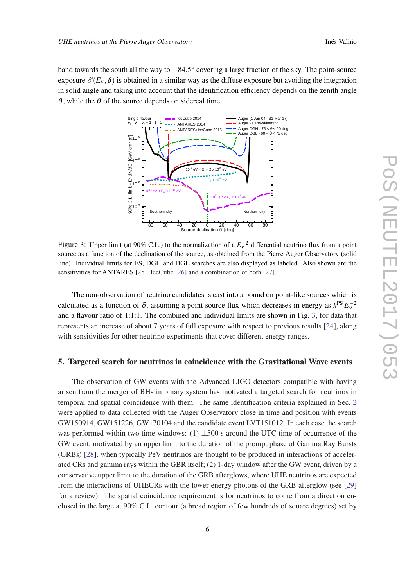band towards the south all the way to  $-84.5^{\circ}$  covering a large fraction of the sky. The point-source exposure  $\mathscr{E}(E_v, \delta)$  is obtained in a similar way as the diffuse exposure but avoiding the integration in solid angle and taking into account that the identification efficiency depends on the zenith angle θ, while the θ of the source depends on sidereal time.



Figure 3: Upper limit (at 90% C.L.) to the normalization of a  $E_v^{-2}$  differential neutrino flux from a point source as a function of the declination of the source, as obtained from the Pierre Auger Observatory (solid line). Individual limits for ES, DGH and DGL searches are also displayed as labeled. Also shown are the sensitivities for ANTARES [[25\]](#page-9-0), IceCube [[26\]](#page-9-0) and a combination of both [[27\]](#page-9-0).

The non-observation of neutrino candidates is cast into a bound on point-like sources which is calculated as a function of  $\delta$ , assuming a point source flux which decreases in energy as  $k^{PS} E_v^{-2}$ and a flavour ratio of 1:1:1. The combined and individual limits are shown in Fig. 3, for data that represents an increase of about 7 years of full exposure with respect to previous results [[24\]](#page-9-0), along with sensitivities for other neutrino experiments that cover different energy ranges.

## 5. Targeted search for neutrinos in coincidence with the Gravitational Wave events

The observation of GW events with the Advanced LIGO detectors compatible with having arisen from the merger of BHs in binary system has motivated a targeted search for neutrinos in temporal and spatial coincidence with them. The same identification criteria explained in Sec. [2](#page-1-0) were applied to data collected with the Auger Observatory close in time and position with events GW150914, GW151226, GW170104 and the candidate event LVT151012. In each case the search was performed within two time windows: (1)  $\pm 500$  s around the UTC time of occurrence of the GW event, motivated by an upper limit to the duration of the prompt phase of Gamma Ray Bursts (GRBs) [\[28\]](#page-9-0), when typically PeV neutrinos are thought to be produced in interactions of accelerated CRs and gamma rays within the GBR itself; (2) 1-day window after the GW event, driven by a conservative upper limit to the duration of the GRB afterglows, where UHE neutrinos are expected from the interactions of UHECRs with the lower-energy photons of the GRB afterglow (see [\[29](#page-9-0)] for a review). The spatial coincidence requirement is for neutrinos to come from a direction enclosed in the large at 90% C.L. contour (a broad region of few hundreds of square degrees) set by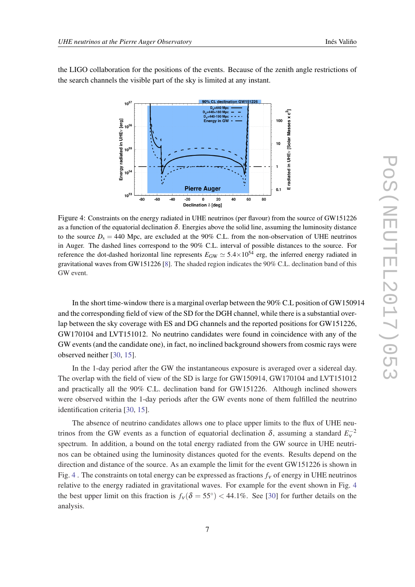the LIGO collaboration for the positions of the events. Because of the zenith angle restrictions of the search channels the visible part of the sky is limited at any instant.



Figure 4: Constraints on the energy radiated in UHE neutrinos (per flavour) from the source of GW151226 as a function of the equatorial declination  $\delta$ . Energies above the solid line, assuming the luminosity distance to the source  $D_s = 440$  Mpc, are excluded at the 90% C.L. from the non-observation of UHE neutrinos in Auger. The dashed lines correspond to the 90% C.L. interval of possible distances to the source. For reference the dot-dashed horizontal line represents  $E_{GW} \simeq 5.4 \times 10^{54}$  erg, the inferred energy radiated in gravitational waves from GW151226 [\[8](#page-8-0)]. The shaded region indicates the 90% C.L. declination band of this GW event.

In the short time-window there is a marginal overlap between the 90% C.L position of GW150914 and the corresponding field of view of the SD for the DGH channel, while there is a substantial overlap between the sky coverage with ES and DG channels and the reported positions for GW151226, GW170104 and LVT151012. No neutrino candidates were found in coincidence with any of the GW events (and the candidate one), in fact, no inclined background showers from cosmic rays were observed neither [[30,](#page-9-0) [15](#page-8-0)].

In the 1-day period after the GW the instantaneous exposure is averaged over a sidereal day. The overlap with the field of view of the SD is large for GW150914, GW170104 and LVT151012 and practically all the 90% C.L. declination band for GW151226. Although inclined showers were observed within the 1-day periods after the GW events none of them fulfilled the neutrino identification criteria [[30,](#page-9-0) [15](#page-8-0)].

The absence of neutrino candidates allows one to place upper limits to the flux of UHE neutrinos from the GW events as a function of equatorial declination  $\delta$ , assuming a standard  $E_v^{-2}$ spectrum. In addition, a bound on the total energy radiated from the GW source in UHE neutrinos can be obtained using the luminosity distances quoted for the events. Results depend on the direction and distance of the source. As an example the limit for the event GW151226 is shown in Fig. 4. The constraints on total energy can be expressed as fractions  $f_v$  of energy in UHE neutrinos relative to the energy radiated in gravitational waves. For example for the event shown in Fig. 4 the best upper limit on this fraction is  $f_v(\delta = 55^\circ) < 44.1\%$ . See [[30\]](#page-9-0) for further details on the analysis.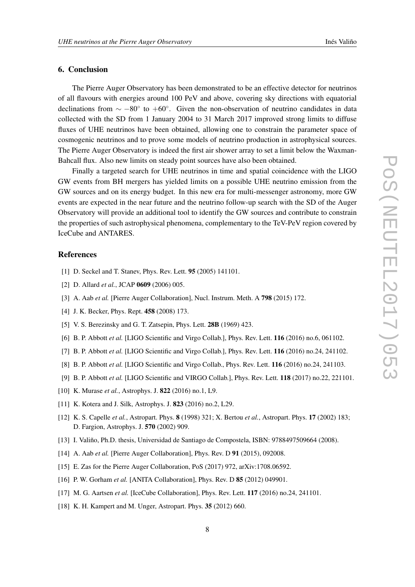# <span id="page-8-0"></span>6. Conclusion

The Pierre Auger Observatory has been demonstrated to be an effective detector for neutrinos of all flavours with energies around 100 PeV and above, covering sky directions with equatorial declinations from  $\sim -80^\circ$  to  $+60^\circ$ . Given the non-observation of neutrino candidates in data collected with the SD from 1 January 2004 to 31 March 2017 improved strong limits to diffuse fluxes of UHE neutrinos have been obtained, allowing one to constrain the parameter space of cosmogenic neutrinos and to prove some models of neutrino production in astrophysical sources. The Pierre Auger Observatory is indeed the first air shower array to set a limit below the Waxman-Bahcall flux. Also new limits on steady point sources have also been obtained.

Finally a targeted search for UHE neutrinos in time and spatial coincidence with the LIGO GW events from BH mergers has yielded limits on a possible UHE neutrino emission from the GW sources and on its energy budget. In this new era for multi-messenger astronomy, more GW events are expected in the near future and the neutrino follow-up search with the SD of the Auger Observatory will provide an additional tool to identify the GW sources and contribute to constrain the properties of such astrophysical phenomena, complementary to the TeV-PeV region covered by IceCube and ANTARES.

## References

- [1] D. Seckel and T. Stanev, Phys. Rev. Lett. **95** (2005) 141101.
- [2] D. Allard *et al.*, JCAP 0609 (2006) 005.
- [3] A. Aab *et al.* [Pierre Auger Collaboration], Nucl. Instrum. Meth. A 798 (2015) 172.
- [4] J. K. Becker, Phys. Rept. **458** (2008) 173.
- [5] V. S. Berezinsky and G. T. Zatsepin, Phys. Lett. **28B** (1969) 423.
- [6] B. P. Abbott *et al.* [LIGO Scientific and Virgo Collab.], Phys. Rev. Lett. 116 (2016) no.6, 061102.
- [7] B. P. Abbott *et al.* [LIGO Scientific and Virgo Collab.], Phys. Rev. Lett. 116 (2016) no.24, 241102.
- [8] B. P. Abbott *et al.* [LIGO Scientific and Virgo Collab., Phys. Rev. Lett. 116 (2016) no.24, 241103.
- [9] B. P. Abbott *et al.* [LIGO Scientific and VIRGO Collab.], Phys. Rev. Lett. 118 (2017) no.22, 221101.
- [10] K. Murase *et al.*, Astrophys. J. **822** (2016) no.1, L9.
- [11] K. Kotera and J. Silk, Astrophys. J. 823 (2016) no.2, L29.
- [12] K. S. Capelle *et al.*, Astropart. Phys. 8 (1998) 321; X. Bertou *et al.*, Astropart. Phys. 17 (2002) 183; D. Fargion, Astrophys. J. 570 (2002) 909.
- [13] I. Valiño, Ph.D. thesis, Universidad de Santiago de Compostela, ISBN: 9788497509664 (2008).
- [14] A. Aab *et al.* [Pierre Auger Collaboration], Phys. Rev. D 91 (2015), 092008.
- [15] E. Zas for the Pierre Auger Collaboration, PoS (2017) 972, arXiv:1708.06592.
- [16] P. W. Gorham *et al.* [ANITA Collaboration], Phys. Rev. D **85** (2012) 049901.
- [17] M. G. Aartsen *et al.* [IceCube Collaboration], Phys. Rev. Lett. 117 (2016) no.24, 241101.
- [18] K. H. Kampert and M. Unger, Astropart. Phys. 35 (2012) 660.